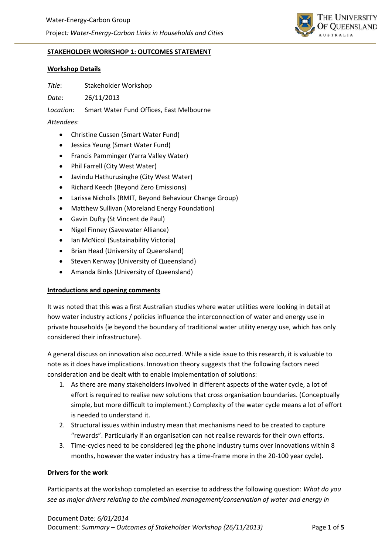

### **STAKEHOLDER WORKSHOP 1: OUTCOMES STATEMENT**

### **Workshop Details**

*Title*: Stakeholder Workshop

*Date*: 26/11/2013

*Location*: Smart Water Fund Offices, East Melbourne

*Attendees*:

- Christine Cussen (Smart Water Fund)
- Jessica Yeung (Smart Water Fund)
- Francis Pamminger (Yarra Valley Water)
- Phil Farrell (City West Water)
- Javindu Hathurusinghe (City West Water)
- Richard Keech (Beyond Zero Emissions)
- Larissa Nicholls (RMIT, Beyond Behaviour Change Group)
- Matthew Sullivan (Moreland Energy Foundation)
- Gavin Dufty (St Vincent de Paul)
- Nigel Finney (Savewater Alliance)
- Ian McNicol (Sustainability Victoria)
- Brian Head (University of Queensland)
- Steven Kenway (University of Queensland)
- Amanda Binks (University of Queensland)

### **Introductions and opening comments**

It was noted that this was a first Australian studies where water utilities were looking in detail at how water industry actions / policies influence the interconnection of water and energy use in private households (ie beyond the boundary of traditional water utility energy use, which has only considered their infrastructure).

A general discuss on innovation also occurred. While a side issue to this research, it is valuable to note as it does have implications. Innovation theory suggests that the following factors need consideration and be dealt with to enable implementation of solutions:

- 1. As there are many stakeholders involved in different aspects of the water cycle, a lot of effort is required to realise new solutions that cross organisation boundaries. (Conceptually simple, but more difficult to implement.) Complexity of the water cycle means a lot of effort is needed to understand it.
- 2. Structural issues within industry mean that mechanisms need to be created to capture "rewards". Particularly if an organisation can not realise rewards for their own efforts.
- 3. Time-cycles need to be considered (eg the phone industry turns over innovations within 8 months, however the water industry has a time‐frame more in the 20‐100 year cycle).

### **Drivers for the work**

Participants at the workshop completed an exercise to address the following question: *What do you see as major drivers relating to the combined management/conservation of water and energy in*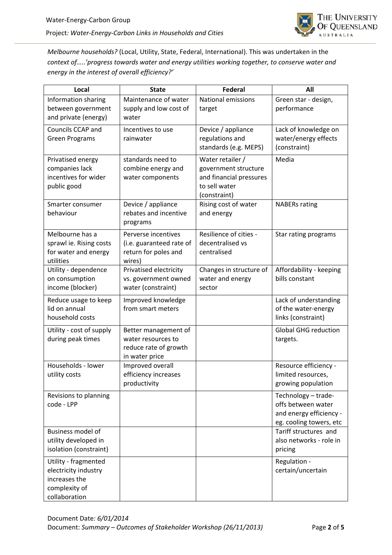

*Melbourne households?* (Local, Utility, State, Federal, International). This was undertaken in the *context of…..'progress towards water and energy utilities working together, to conserve water and energy in the interest of overall efficiency?'*

| Local                                                                                           | <b>State</b>                                                                          | <b>Federal</b>                                                                                       | All                                                                                             |
|-------------------------------------------------------------------------------------------------|---------------------------------------------------------------------------------------|------------------------------------------------------------------------------------------------------|-------------------------------------------------------------------------------------------------|
| Information sharing<br>between government<br>and private (energy)                               | Maintenance of water<br>supply and low cost of<br>water                               | <b>National emissions</b><br>target                                                                  | Green star - design,<br>performance                                                             |
| Councils CCAP and<br><b>Green Programs</b>                                                      | Incentives to use<br>rainwater                                                        | Device / appliance<br>regulations and<br>standards (e.g. MEPS)                                       | Lack of knowledge on<br>water/energy effects<br>(constraint)                                    |
| Privatised energy<br>companies lack<br>incentives for wider<br>public good                      | standards need to<br>combine energy and<br>water components                           | Water retailer /<br>government structure<br>and financial pressures<br>to sell water<br>(constraint) | Media                                                                                           |
| Smarter consumer<br>behaviour                                                                   | Device / appliance<br>rebates and incentive<br>programs                               | Rising cost of water<br>and energy                                                                   | <b>NABERs rating</b>                                                                            |
| Melbourne has a<br>sprawl ie. Rising costs<br>for water and energy<br>utilities                 | Perverse incentives<br>(i.e. guaranteed rate of<br>return for poles and<br>wires)     | Resilience of cities -<br>decentralised vs<br>centralised                                            | Star rating programs                                                                            |
| Utility - dependence<br>on consumption<br>income (blocker)                                      | Privatised electricity<br>vs. government owned<br>water (constraint)                  | Changes in structure of<br>water and energy<br>sector                                                | Affordability - keeping<br>bills constant                                                       |
| Reduce usage to keep<br>lid on annual<br>household costs                                        | Improved knowledge<br>from smart meters                                               |                                                                                                      | Lack of understanding<br>of the water-energy<br>links (constraint)                              |
| Utility - cost of supply<br>during peak times                                                   | Better management of<br>water resources to<br>reduce rate of growth<br>in water price |                                                                                                      | <b>Global GHG reduction</b><br>targets.                                                         |
| Households - lower<br>utility costs                                                             | Improved overall<br>efficiency increases<br>productivity                              |                                                                                                      | Resource efficiency -<br>limited resources,<br>growing population                               |
| Revisions to planning<br>code - LPP                                                             |                                                                                       |                                                                                                      | Technology - trade-<br>offs between water<br>and energy efficiency -<br>eg. cooling towers, etc |
| Business model of<br>utility developed in<br>isolation (constraint)                             |                                                                                       |                                                                                                      | Tariff structures and<br>also networks - role in<br>pricing                                     |
| Utility - fragmented<br>electricity industry<br>increases the<br>complexity of<br>collaboration |                                                                                       |                                                                                                      | Regulation -<br>certain/uncertain                                                               |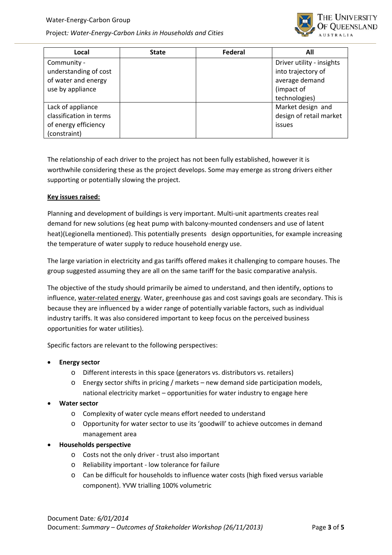

| Local                   | <b>State</b> | Federal | All                       |
|-------------------------|--------------|---------|---------------------------|
| Community -             |              |         | Driver utility - insights |
| understanding of cost   |              |         | into trajectory of        |
| of water and energy     |              |         | average demand            |
| use by appliance        |              |         | (impact of                |
|                         |              |         | technologies)             |
| Lack of appliance       |              |         | Market design and         |
| classification in terms |              |         | design of retail market   |
| of energy efficiency    |              |         | issues                    |
| (constraint)            |              |         |                           |

The relationship of each driver to the project has not been fully established, however it is worthwhile considering these as the project develops. Some may emerge as strong drivers either supporting or potentially slowing the project.

### **Key issues raised:**

Planning and development of buildings is very important. Multi‐unit apartments creates real demand for new solutions (eg heat pump with balcony‐mounted condensers and use of latent heat)(Legionella mentioned). This potentially presents design opportunities, for example increasing the temperature of water supply to reduce household energy use.

The large variation in electricity and gas tariffs offered makes it challenging to compare houses. The group suggested assuming they are all on the same tariff for the basic comparative analysis.

The objective of the study should primarily be aimed to understand, and then identify, options to influence, water-related energy. Water, greenhouse gas and cost savings goals are secondary. This is because they are influenced by a wider range of potentially variable factors, such as individual industry tariffs. It was also considered important to keep focus on the perceived business opportunities for water utilities).

Specific factors are relevant to the following perspectives:

- **Energy sector**
	- o Different interests in this space (generators vs. distributors vs. retailers)
	- Energy sector shifts in pricing / markets new demand side participation models, national electricity market – opportunities for water industry to engage here
- **Water sector**
	- o Complexity of water cycle means effort needed to understand
	- o Opportunity for water sector to use its 'goodwill' to achieve outcomes in demand management area
- **Households perspective**
	- o Costs not the only driver ‐ trust also important
	- o Reliability important ‐ low tolerance for failure
	- o Can be difficult for households to influence water costs (high fixed versus variable component). YVW trialling 100% volumetric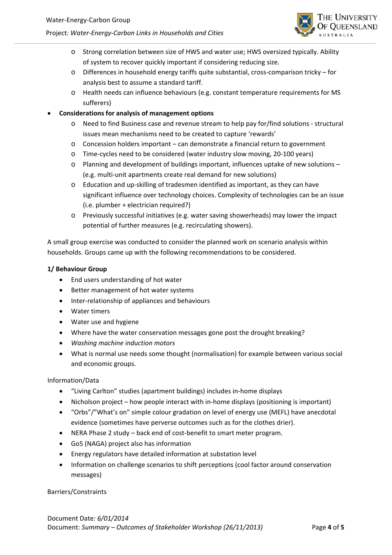

- o Strong correlation between size of HWS and water use; HWS oversized typically. Ability of system to recover quickly important if considering reducing size.
- o Differences in household energy tariffs quite substantial, cross‐comparison tricky for analysis best to assume a standard tariff.
- o Health needs can influence behaviours (e.g. constant temperature requirements for MS sufferers)
- **Considerations for analysis of management options**
	- Need to find Business case and revenue stream to help pay for/find solutions structural issues mean mechanisms need to be created to capture 'rewards'
	- o Concession holders important can demonstrate a financial return to government
	- o Time‐cycles need to be considered (water industry slow moving, 20‐100 years)
	- o Planning and development of buildings important, influences uptake of new solutions (e.g. multi‐unit apartments create real demand for new solutions)
	- o Education and up‐skilling of tradesmen identified as important, as they can have significant influence over technology choices. Complexity of technologies can be an issue (i.e. plumber + electrician required?)
	- o Previously successful initiatives (e.g. water saving showerheads) may lower the impact potential of further measures (e.g. recirculating showers).

A small group exercise was conducted to consider the planned work on scenario analysis within households. Groups came up with the following recommendations to be considered.

# **1/ Behaviour Group**

- End users understanding of hot water
- Better management of hot water systems
- Inter-relationship of appliances and behaviours
- Water timers
- Water use and hygiene
- Where have the water conservation messages gone post the drought breaking?
- *Washing machine induction motors*
- What is normal use needs some thought (normalisation) for example between various social and economic groups.

## Information/Data

- "Living Carlton" studies (apartment buildings) includes in‐home displays
- Nicholson project how people interact with in-home displays (positioning is important)
- "Orbs"/"What's on" simple colour gradation on level of energy use (MEFL) have anecdotal evidence (sometimes have perverse outcomes such as for the clothes drier).
- NERA Phase 2 study back end of cost-benefit to smart meter program.
- Go5 (NAGA) project also has information
- Energy regulators have detailed information at substation level
- Information on challenge scenarios to shift perceptions (cool factor around conservation messages)

## Barriers/Constraints